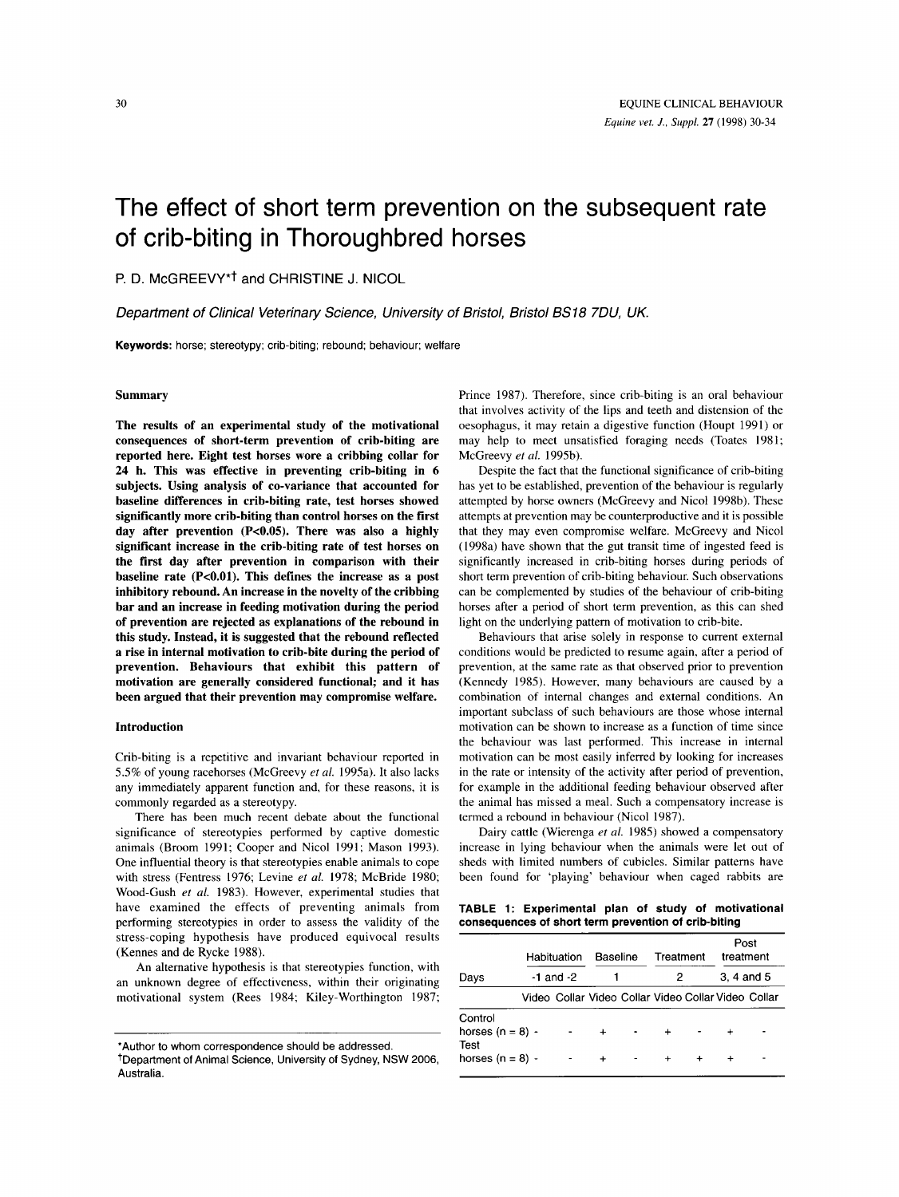# The effect of short term prevention on the subsequent rate of crib-biting in Thoroughbred horses

**P.** D. McGREEVY\*t and CHRISTINE J. NICOL

*Deparfment of Clinical Veterinary Science, University of Bristol, Bristol BS18 7DU, UK.* 

**Keywords:** horse; stereotypy; crib-biting; rebound; behaviour; welfare

# **Summary**

**The results of an experimental study of the motivational consequences of short-term prevention of crib-biting are reported here. Eight test horses wore a cribbing collar for 24 h. This was effective in preventing crib-biting in 6 subjects. Using analysis of co-variance that accounted for baseline differences in crib-biting rate, test horses showed significantly more crib-biting than control horses on the first day after prevention (Pc0.05). There was also a highly significant increase in the crib-biting rate of test horses on the first day after prevention in comparison with their**  baseline rate (P<0.01). This defines the increase as a post **inhibitory rebound. An increase in the novelty of the cribbing bar and an increase in feeding motivation during the period of prevention are rejected as explanations of the rebound in this study. Instead, it is suggested that the rebound reflected a rise in internal motivation to crib-bite during the period of prevention. Behaviours that exhibit this pattern of motivation are generally considered functional; and it has been argued that their prevention may compromise welfare.** 

#### **Introduction**

Crib-biting is a repetitive and invariant behaviour reported in *5.5%* of young racehorses (McGreevy *et al.* 199Sa). It also lacks any immediately apparent function and, for these reasons, it is commonly regarded as a stereotypy.

There has been much recent debate about the functional significance of stereotypies performed by captive domestic animals (Broom 1991; Cooper and Nicol 1991; Mason 1993). One influential theory is that stereotypies enable animals to cope with stress (Fentress 1976; Levine *et al.* 1978; McBride 1980; Wood-Gush *et a/.* 1983). However, experimental studies that have examined the effects of preventing animals from performing stereotypies in order to assess the validity of the stress-coping hypothesis have produced equivocal results (Kennes and de Rycke 1988).

An alternative hypothesis is that stereotypies function, with an unknown degree of effectiveness, within their originating motivational system (Rees 1984; Kiley-Worthington 1987; Prince 1987). Therefore, since crib-biting is an oral behaviour that involves activity of the lips and teeth and distension of the oesophagus, it may retain a digestive function (Houpt 1991) or may help to meet unsatisfied foraging needs (Toates 1981; McGreevy *et al.* 1995b).

Despite the fact that the functional significance of crib-biting has yet to be established, prevention of the behaviour is regularly attempted by horse owners (McGreevy and Nicol 1998b). These attempts at prevention may be counterproductive and it is possible that they may even compromise welfare. McGreevy and Nicol (1998a) have shown that the gut transit time of ingested feed is significantly increased in crib-biting horses during periods of short term prevention of crib-biting behaviour. Such observations can be complemented by studies of the behaviour of crib-biting horses after a period of short term prevention, as this can shed light on the underlying pattern of motivation to crib-bite.

Behaviours that arise solely in response to current external conditions would be predicted to resume again, after a period of prevention, at the same rate as that observed prior to prevention (Kennedy 1985). However, many behaviours are caused by a combination of internal changes and external conditions. An important subclass of such behaviours are those whose internal motivation can be shown to increase as a function of time since the behaviour was last performed. This increase in internal motivation can be most easily inferred by looking for increases in the rate or intensity of the activity after period of prevention, for example in the additional feeding behaviour observed after the animal has missed a meal. Such a compensatory increase is termed **a** rebound in behaviour (Nicol 1987).

Dairy cattle (Wierenga *et a/.* 1985) showed a compensatory increase in lying behaviour when the animals were let out of sheds with limited numbers **of** cubicles. Similar patterns have been found for 'playing' behaviour when caged rabbits are

**TABLE 1** : **Experimental plan of study of motivational consequences of short term prevention of crib-biting** 

|                                                             | Habituation<br>$-1$ and $-2$ |  | Baseline               |  | Treatment<br>2                                      |  | Post<br>treatment<br>3.4 and 5 |  |
|-------------------------------------------------------------|------------------------------|--|------------------------|--|-----------------------------------------------------|--|--------------------------------|--|
| Days                                                        |                              |  |                        |  |                                                     |  |                                |  |
|                                                             |                              |  |                        |  | Video Collar Video Collar Video Collar Video Collar |  |                                |  |
| Control<br>horses $(n = 8)$ -<br>Test<br>horses $(n = 8)$ - |                              |  | $\ddot{}$<br>$\ddot{}$ |  | $\ddot{}$                                           |  |                                |  |

<sup>\*</sup>Author **to** whom correspondence should be addressed.

<sup>+</sup>Department of Animal Science, University of Sydney, NSW 2006, Australia.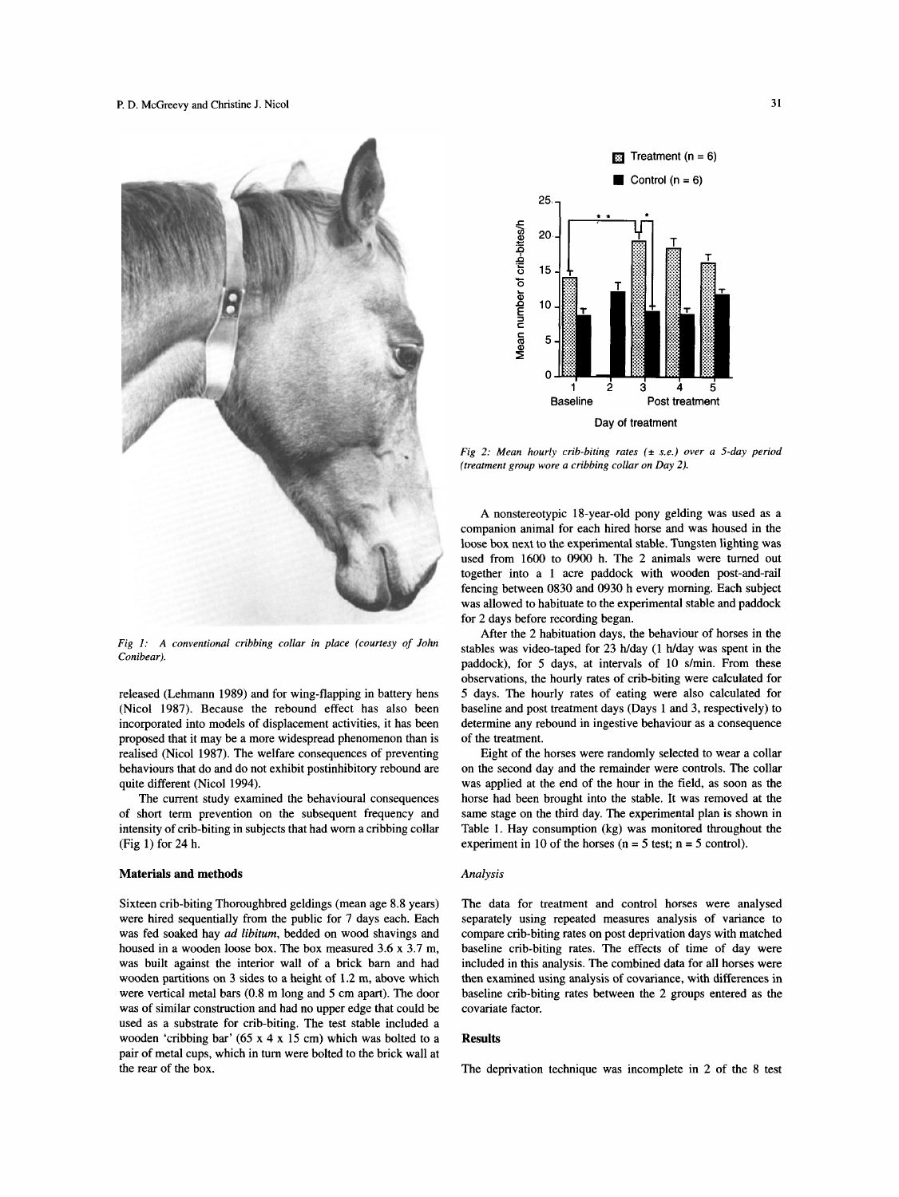

*Fig I: A conventional cribbing collar in place (courtesy of John Conibear).* 

released (Lehmann 1989) and for wing-flapping in battery hens (Nicol 1987). Because the rebound effect has also been incorporated into models of displacement activities, it has been proposed that it may be a more widespread phenomenon than is realised (Nicol 1987). The welfare consequences of preventing behaviours that do and do not exhibit postinhibitory rebound are quite different (Nicol 1994).

The current study examined the behavioural consequences of short term prevention on the subsequent frequency and intensity of crib-biting in subjects that had worn a cribbing collar (Fig 1) for 24 h.

### **Materials and methods** *Analysis*

Sixteen crib-biting Thoroughbred geldings (mean age 8.8 years) were hired sequentially from the public for 7 days each. Each was fed soaked hay ad libitum, bedded on wood shavings and housed in a wooden loose box. The box measured 3.6 x 3.7 m, was built against the interior wall of a brick barn and had wooden partitions on 3 sides to a height of 1.2 m, above which were vertical metal bars (0.8 m long and 5 cm apart). The door was of similar construction and had no upper edge that could be used as a substrate for crib-biting. The test stable included a wooden 'cribbing bar' (65 x 4 x 15 cm) which was bolted to a pair of metal cups, which in turn were bolted to the brick wall at the rear of the box.



*Fig 2: Mean hourly crib-biting rates* ( $\pm$  *s.e.) over a 5-day period (treatment group wore a cribbing collar on Day* 2).

A nonstereotypic 18-year-old pony gelding was used as a companion animal for each hired horse and was housed in the loose box next to the experimental stable. Tungsten lighting was used from 1600 to 0900 h. The 2 animals were turned out together into a 1 acre paddock with wooden post-and-rail fencing between 0830 and 0930 h every morning. Each subject was allowed to habituate to the experimental stable and paddock for 2 days before recording began.

After the 2 habituation days, the behaviour of horses in the stables was video-taped for 23 h/day (1 h/day was spent in the paddock), for 5 days, at intervals of 10 s/min. From these observations, the hourly rates of crib-biting were calculated for 5 days. The hourly rates of eating were also calculated for baseline and post treatment days (Days 1 and 3, respectively) to determine any rebound in ingestive behaviour as a consequence of the treatment.

Eight of the horses were randomly selected to wear a collar on the second day and the remainder were controls. The collar was applied at the end of the hour in the field, as soon as the horse had been brought into the stable. It was removed at the same stage on the third day. The experimental plan is shown in Table 1. Hay consumption (kg) was monitored throughout the experiment in 10 of the horses ( $n = 5$  test;  $n = 5$  control).

The data for treatment and control horses were analysed separately using repeated measures analysis of variance to compare crib-biting rates on post deprivation days with matched baseline crib-biting rates. The effects of time of day were included in this analysis. The combined data for all horses were then examined using analysis of covariance, with differences in baseline crib-biting rates between the 2 groups entered as the covariate factor.

## **Results**

The deprivation technique was incomplete in 2 of the 8 test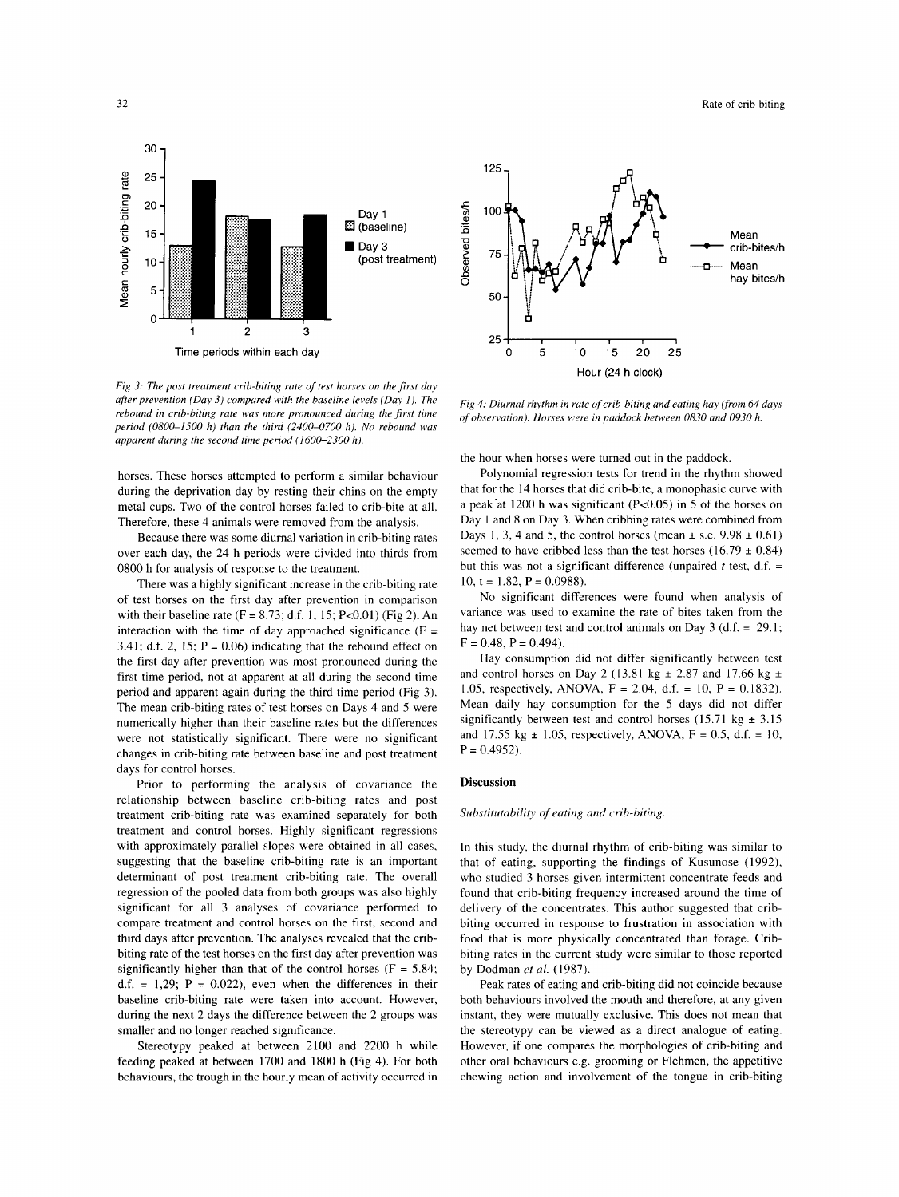

*Fig 3: The post treatment crib-biting rate of test horses on the first duy after prevention (Day 3) compared with the baseline levels (Day I). The rebound in crib-biting rate was more pronounced during the first time period (0800-1500 h) than the third (2400-0700 h). No rebound was apparent during the second time period (1600-2300 h).* 

horses. These horses attempted to perform a similar behaviour during the deprivation day by resting their chins on the empty metal cups. Two of the control horses failed to crib-bite at all. Therefore, these 4 animals were removed from the analysis.

Because there was some diurnal variation in crib-biting rates over each day, the 24 h periods were divided into thirds from 0800 h for analysis of response to the treatment.

There was a highly significant increase in the crib-biting rate of test horses on the first day after prevention in comparison with their baseline rate (F = 8.73: d.f. 1, **15:** Pc0.01) (Fig 2). An interaction with the time of day approached significance ( $F =$ 3.41; d.f. 2, 15;  $P = 0.06$ ) indicating that the rebound effect on the first day after prevention was most pronounced during the first time period, not at apparent at all during the second time period and apparent again during the third time period (Fig 3). The mean crib-biting rates of test horses on Days 4 and *5* were numerically higher than their baseline rates but the differences were not statistically significant. There were no significant changes in crib-biting rate between baseline and post treatment days for control horses.

Prior to performing the analysis of covariance the relationship between baseline crib-biting rates and post treatment crib-biting rate was examined separately for both treatment and control horses. Highly significant regressions with approximately parallel slopes were obtained in all cases, suggesting that the baseline crib-biting rate is an important determinant of post treatment crib-biting rate. The overall regression of the pooled data from both groups was also highly significant for all 3 analyses of covariance performed to compare treatment and control horses on the first, second and third days after prevention. The analyses revealed that the cribbiting rate of the test horses on the first day after prevention was significantly higher than that of the control horses ( $F = 5.84$ ; d.f. = 1,29;  $P = 0.022$ ), even when the differences in their baseline crib-biting rate were taken into account. However, during the next 2 days the difference between the 2 groups was smaller and no longer reached significance.

Stereotypy peaked at between 2100 and 2200 h while feeding peaked at between 1700 and 1800 h (Fig 4). For both behaviours, the trough in the hourly mean of activity occurred in



*Fig 4: Diurnal rhythm in rate of crib-biting and eating hay (from 64 days of observation). Horses were in paddock between 0830 and 0930 h.* 

the hour when horses were turned out in the paddock.

Polynomial regression tests for trend in the rhythm showed that for the 14 horses that did crib-bite, a monophasic curve with a peak'at 1200 h was significant (P<O.OS) in *5* of the horses on Day 1 and 8 on Day 3. When cribbing rates were combined from Days 1, 3, 4 and 5, the control horses (mean  $\pm$  s.e. 9.98  $\pm$  0.61) seemed to have cribbed less than the test horses  $(16.79 \pm 0.84)$ but this was not a significant difference (unpaired  $t$ -test, d.f. = 10,  $t = 1.82$ ,  $P = 0.0988$ ).

No significant differences were found when analysis of variance was used to examine the rate of bites taken from the hay net between test and control animals on Day 3 (d.f. =  $29.1$ ;  $F = 0.48$ ,  $P = 0.494$ ).

Hay consumption did not differ significantly between test and control horses on Day 2 (13.81 kg  $\pm$  2.87 and 17.66 kg  $\pm$ 1.05, respectively, ANOVA, **F** = 2.04, d.f. = 10, P = 0.1832). Mean daily hay consumption for the *5* days did not differ significantly between test and control horses  $(15.71 \text{ kg} \pm 3.15$ and 17.55 kg  $\pm$  1.05, respectively, ANOVA, F = 0.5, d.f. = 10,  $P = 0.4952$ .

# **Discussion**

*Substitutability of eating and crib-biting* 

In this study, the diurnal rhythm of crib-biting was similar to that of eating, supporting the findings of Kusunose (1992), who studied 3 horses given intermittent concentrate feeds and found that crib-biting frequency increased around the time of delivery of the concentrates. This author suggested that cribbiting occurred in response to frustration in association with food that is more physically concentrated than forage. Cribbiting rates in the current study were similar to those reported by Dodman *et al.* (1987).

Peak rates of eating and crib-biting did not coincide because both behaviours involved the mouth and therefore, at any given instant, they were mutually exclusive. This does not mean that the stereotypy can be viewed as a direct analogue of eating. However, if one compares the morphologies of crib-biting and other oral behaviours e.g. grooming or Flehmen, the appetitive chewing action and involvement of the tongue in crib-biting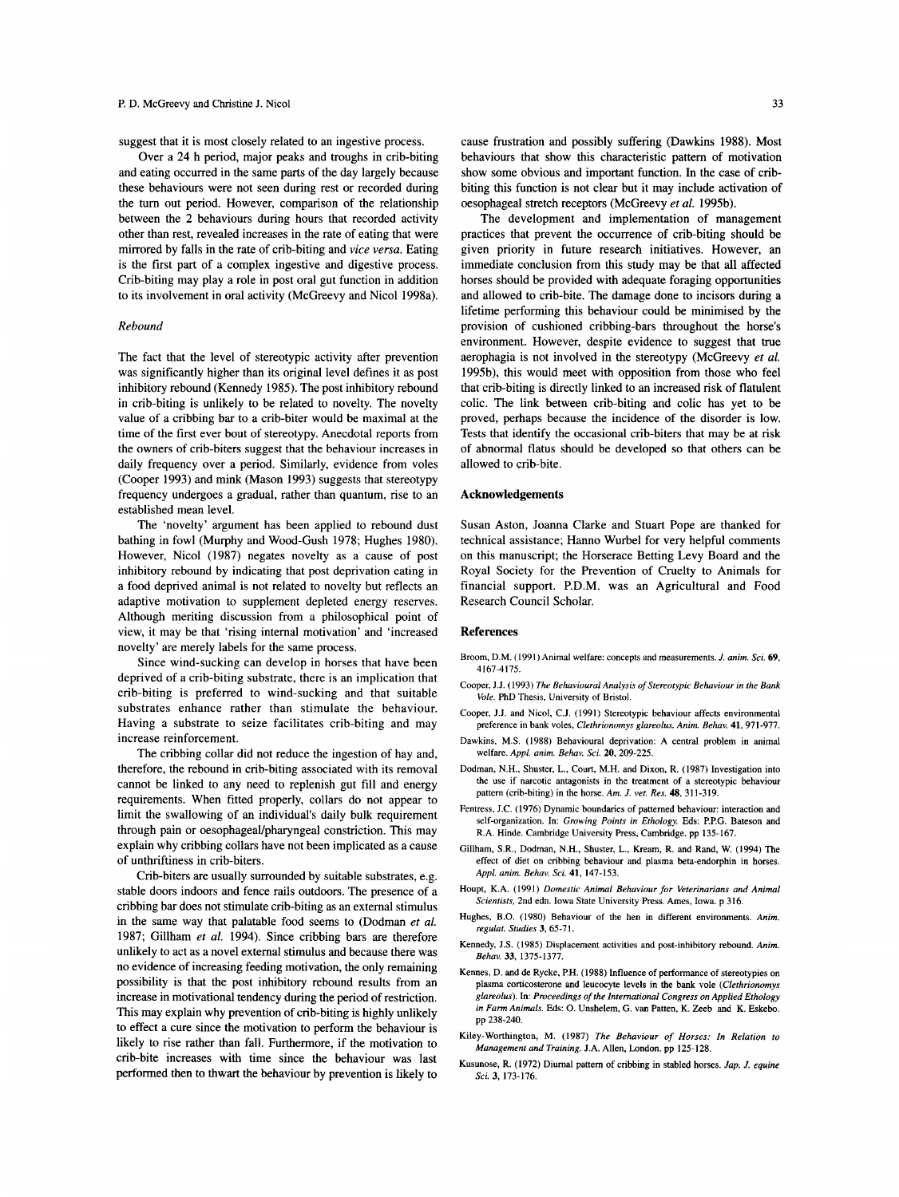suggest that it is most closely related to an ingestive process.

Over a 24 h period, major peaks and troughs in crib-biting and eating occurred in the same parts of the day largely because these behaviours were not seen during rest or recorded during the turn out period. However, comparison of the relationship between the 2 behaviours during hours that recorded activity other than rest, revealed increases in the rate of eating that were mirrored by falls in the rate of crib-biting and *vice versa.* Eating is the first part of a complex ingestive and digestive process. Crib-biting may play a role in post oral gut function in addition to its involvement in oral activity (McGreevy and Nicol 1998a).

#### *Rebound*

The fact that the level of stereotypic activity after prevention was significantly higher than its original level defines it as post inhibitory rebound (Kennedy 1985). The post inhibitory rebound in crib-biting is unlikely to be related to novelty. The novelty value of a cribbing bar to a crib-biter would be maximal at the time of the first ever bout of stereotypy. Anecdotal reports from the owners of crib-biters suggest that the behaviour increases in daily frequency over a period. Similarly, evidence from voles (Cooper 1993) and mink (Mason 1993) suggests that stereotypy frequency undergoes a gradual, rather than quantum, rise to an established mean level.

The 'novelty' argument has been applied to rebound dust bathing in fowl (Murphy and Wood-Gush 1978; Hughes 1980). However, Nicol (1987) negates novelty as a cause of post inhibitory rebound by indicating that post deprivation eating in a food deprived animal is not related to novelty but reflects an adaptive motivation to supplement depleted energy reserves. Although meriting discussion from a philosophical point of view, it may be that 'rising internal motivation' and 'increased novelty' are merely labels for the same process.

Since wind-sucking can develop in horses that have been deprived of a crib-biting substrate, there is an implication that crib-biting is preferred to wind-sucking and that suitable substrates enhance rather than stimulate the behaviour. Having a substrate to seize facilitates crib-biting and may increase reinforcement.

The cribbing collar did not reduce the ingestion of hay and, therefore, the rebound in crib-biting associated with its removal cannot be linked to any need to replenish gut fill and energy requirements. When fitted properly, collars do not appear to limit the swallowing of an individual's daily bulk requirement through pain or oesophageal/pharyngeal constriction. This may explain why cribbing collars have not been implicated as a cause of unthriftiness in crib-biters.

Crib-biters are usually surrounded by suitable substrates, e.g. stable doors indoors and fence rails outdoors. The presence of a cribbing bar does not stimulate crib-biting as an external stimulus in the same way that palatable food seems to (Dodman *et al.*  1987; Gillham *et al.* 1994). Since cribbing bars are therefore unlikely to act as a novel external stimulus and because there was no evidence of increasing feeding motivation, the only remaining possibility is that the post inhibitory rebound results from an increase in motivational tendency during the period of restriction. This may explain why prevention of crib-biting is highly unlikely to effect a cure since the motivation to perform the behaviour is likely to rise rather than fall. Furthermore, if the motivation to crib-bite increases with time since the behaviour was last performed then to thwart the behaviour by prevention is likely to

cause frustration and possibly suffering (Dawkins 1988). Most behaviours that show this characteristic pattern of motivation show some obvious and important function. In the case of cribbiting this function is not clear but it may include activation **of**  oesophageal stretch receptors (McGreevy *et al.* 1995b).

The development and implementation of management practices that prevent the occurrence of crib-biting should be given priority in future research initiatives. However, an immediate conclusion from this study may be that all affected horses should be provided with adequate foraging opportunities and allowed to crib-bite. The damage done to incisors during a lifetime performing this behaviour could be minimised by the provision of cushioned cribbing-bars throughout the horse's environment. However, despite evidence to suggest that true aerophagia is not involved in the stereotypy (McGreevy *et al.*  1995b), this would meet with opposition from those who feel that crib-biting is directly linked to an increased risk of flatulent colic. The link between crib-biting and colic has yet to be proved, perhaps because the incidence of the disorder is low. Tests that identify the occasional crib-biters that may be at risk of abnormal flatus should be developed *so* that others can be allowed to crib-bite.

#### **Acknowledgements**

Susan Aston, Joanna Clarke and Stuart Pope are thanked for technical assistance; Hanno Wurbel for very helpful comments on this manuscript; the Horserace Betting Levy Board and the Royal Society for the Prevention of Cruelty to Animals for financial support. P.D.M. was an Agricultural and Food Research Council Scholar.

### **References**

- Broom, D.M. (1991) Animal welfare: concepts and measurements. *J. anim. Sci. 69,*  4167-4175.
- Cooper. J.J. (1993) *The Behavioural Analysis of Stereotypic Behaviour in the Bank Vole.* PhD Thesis, University of Bristol.
- Cooper, J.J. and Nicol, C.J. (1991) Stereotypic behaviour affects environmental preference in bank voles, *Clethrionomys glareolus. Anim. Behav.* **41,** 971-977.
- Dawkins, M.S. (1988) Behavioural deprivation: A central problem in animal welfare. *Appl. anim. Behav. Sci.* 20,209-225.
- Dodman, N.H., Shuster, L., Court, M.H. and Dixon, R. (1987) Investigation into the use if narcotic antagonists in the treatment of a stereotypic behaviour pattern (crib-biting) in the horse. *Am. J. vet. Res.* **48,** 311-319.
- Fentress, J.C. (1976) Dynamic boundaries of patterned behaviour: interaction and self-organization. In: *Growing Points in Ethology.* Eds: P.P.G. Bateson and R.A. Hinde. Cambridge University Press, Cambridge. pp 135-167.
- Gillham, S.R., Dodman, N.H., Shuster, L., Kream, R. and Rand, W. (1994) The effect of diet on cribbing behaviour and plasma beta-endorphin in horses. *Appl. anim. Behav. Sci.* **41,** 147-153.
- Houpt, K.A. (1991) *Domestic Animal Behaviour for Veterinarians and Animal Scientists,* 2nd edn. Iowa State University Press. Ames, Iowa. p 316.
- Hughes, B.O. (1980) Behaviour of the hen in different environments. *Anim. regular. Studies 3,* 65-7 I.
- Kennedy, J.S. (1985) Displacement activities and post-inhibitory rebound. *Anim. Behav.* 33, 1375-1377.
- Kennes, D. and de Rycke, P.H. (1988) Influence of performance of stereotypies on plasma corticosterone and leucocyte levels in the bank vole *(Clethrionomys glareolus).* In: *Proceedings of the International Congress on Applied Ethology in Farm Animals.* **Eds:** *0.* Unshelem, *G.* van Patten, K. Zeeb and K. Eskebo. pp 238-240.
- Kiley-Worthington, M. (1987) *The Behaviour of Horses: In Relation to Management and Training.* J.A. Allen, London. pp **125-128.**
- Kusunose, R. (1972) Diurnal pattern of cribbing in stabled horses. *Jap. J. equine Sci. 3,* 173-176.